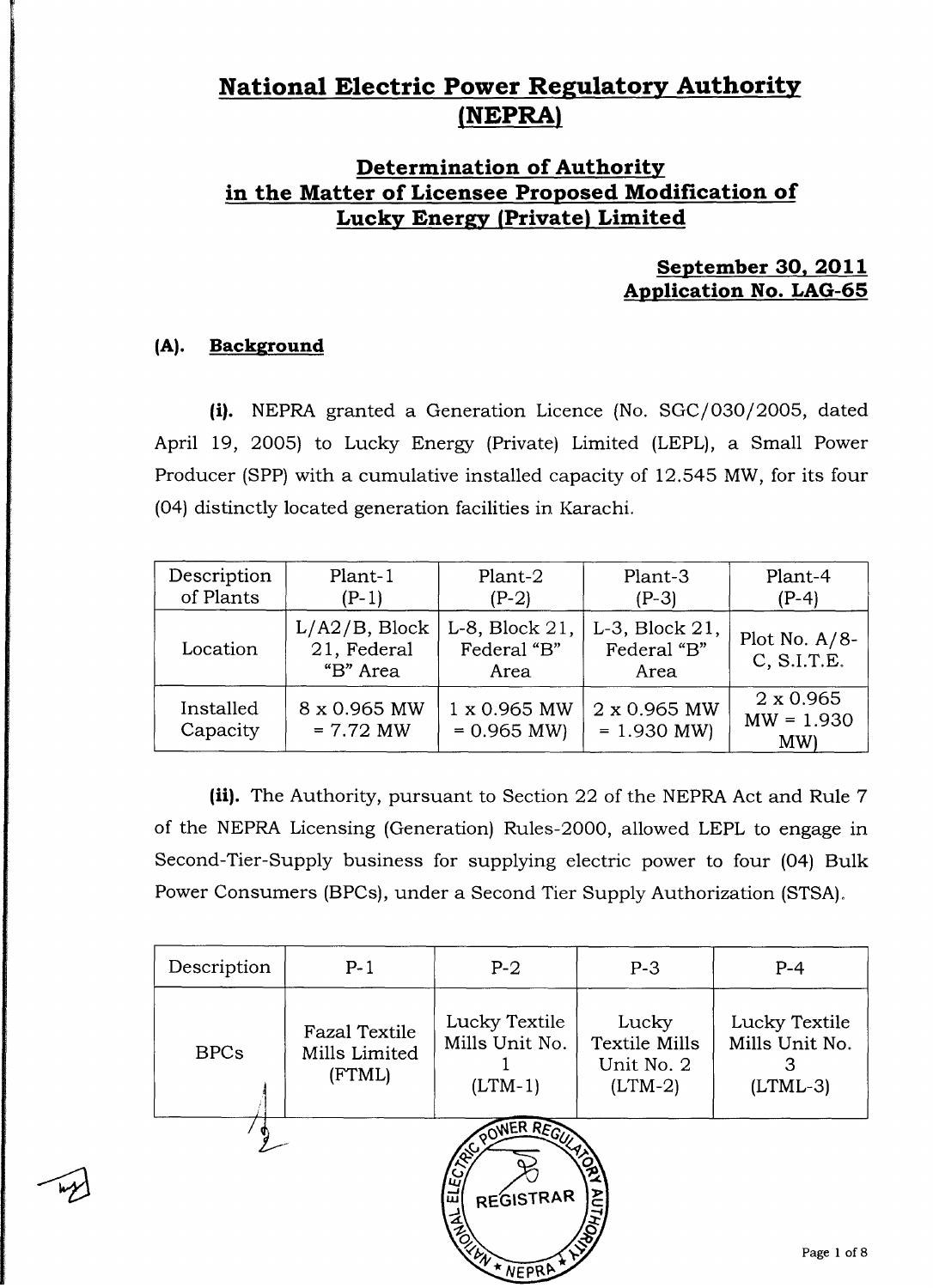## **National Electric Power Regulatory Authority NEPRA**

### **Determination of Authority in the Matter of Licensee Proposed Modification of Lucky Energy** (**Private) Limited**

### **September 30, 2011 Application No. LAG-65**

### **(A). Background**

(i). NEPRA granted a Generation Licence (No. SGC/030/2005, dated April 19, 2005) to Lucky Energy (Private) Limited (LEPL), a Small Power Producer (SPP) with a cumulative installed capacity of 12.545 MW, for its four (04) distinctly located generation facilities in Karachi.

| Description<br>of Plants | Plant-1<br>$(P-1)$                          | Plant-2<br>$(P-2)$                    | Plant-3<br>$(P-3)$                          | Plant-4<br>(P-4)                       |
|--------------------------|---------------------------------------------|---------------------------------------|---------------------------------------------|----------------------------------------|
| Location                 | $L/A2/B$ , Block<br>21, Federal<br>"B" Area | L-8, Block 21,<br>Federal "B"<br>Area | $L-3$ , Block $21$ ,<br>Federal "B"<br>Area | Plot No. $A/8$ -<br>C, S.I.T.E.        |
| Installed<br>Capacity    | 8 x 0.965 MW<br>$= 7.72$ MW                 | 1 x 0.965 MW<br>$= 0.965$ MW)         | 2 x 0.965 MW<br>$= 1.930$ MW)               | $2 \times 0.965$<br>$MW = 1.930$<br>MW |

(ii). The Authority, pursuant to Section 22 of the NEPRA Act and Rule 7 of the NEPRA Licensing (Generation) Rules-2000, allowed LEPL to engage in Second-Tier-Supply business for supplying electric power to four (04) Bulk Power Consumers (BPCs), under a Second Tier Supply Authorization (STSA).

| Description                                                                           | $P-1$                                           | $P-2$                                        | $P-3$                                             | $P-4$                                              |  |
|---------------------------------------------------------------------------------------|-------------------------------------------------|----------------------------------------------|---------------------------------------------------|----------------------------------------------------|--|
| <b>BPCs</b>                                                                           | <b>Fazal Textile</b><br>Mills Limited<br>(FTML) | Lucky Textile<br>Mills Unit No.<br>$(LTM-1)$ | Lucky<br>Textile Mills<br>Unit No. 2<br>$(LTM-2)$ | Lucky Textile<br>Mills Unit No.<br>З<br>$(LTML-3)$ |  |
| REGISTOR REGIST<br><b>ADITIVAR</b><br>REGISTRAR<br><b>RELATIVE PRA</b><br>Page 1 of 8 |                                                 |                                              |                                                   |                                                    |  |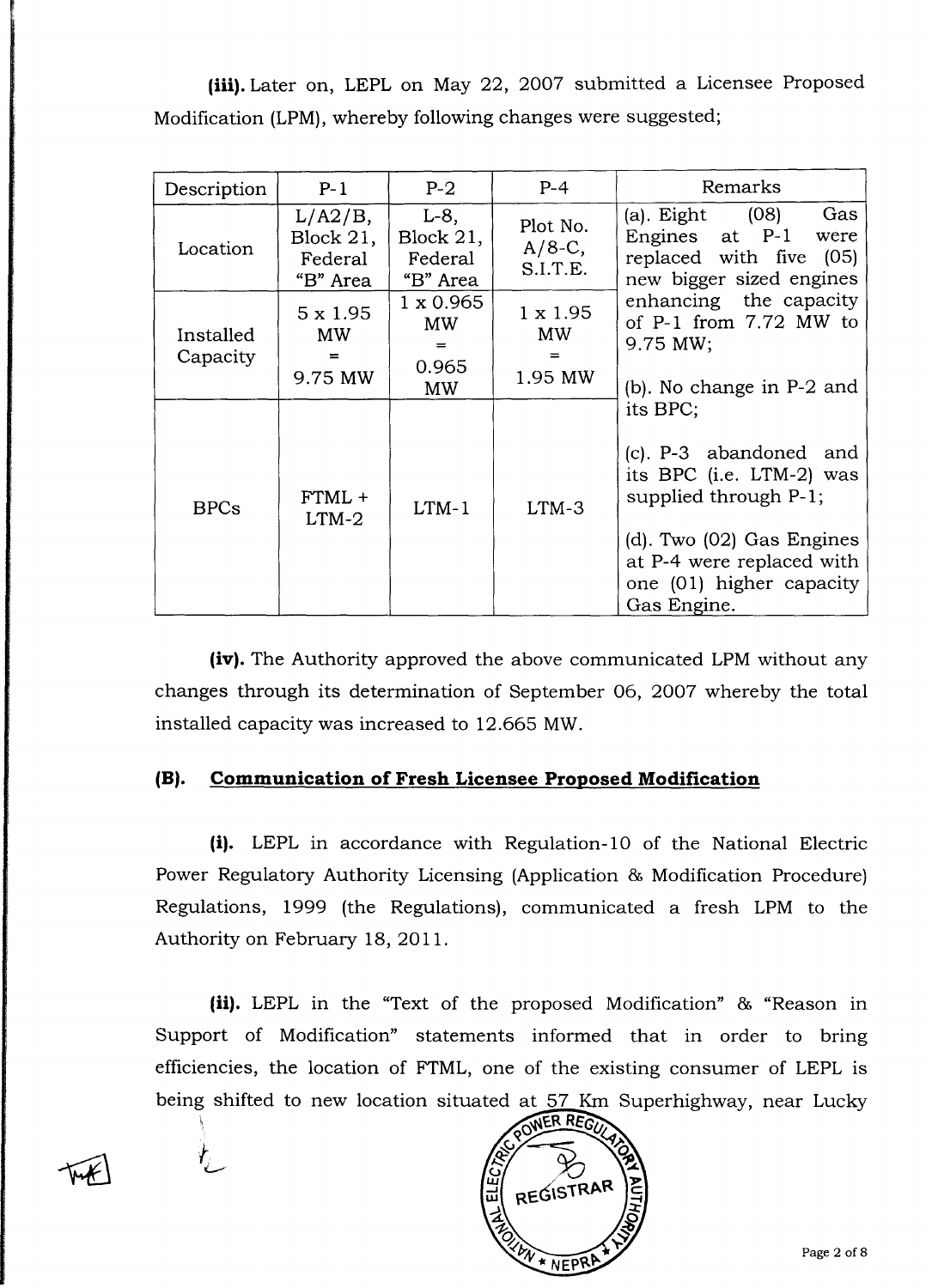(iii). Later on, LEPL on May 22, 2007 submitted a Licensee Proposed Modification (LPM), whereby following changes were suggested;

| Description           | $P-1$                                             | $P-2$                                        | $P-4$                             | Remarks                                                                                                                                                                                                                                                                                                                                                                                              |  |
|-----------------------|---------------------------------------------------|----------------------------------------------|-----------------------------------|------------------------------------------------------------------------------------------------------------------------------------------------------------------------------------------------------------------------------------------------------------------------------------------------------------------------------------------------------------------------------------------------------|--|
| Location              | $L/A2/B$ ,<br>Block $21$ ,<br>Federal<br>"B" Area | $L-8$ ,<br>Block 21,<br>Federal<br>"B" Area  | Plot No.<br>$A/8-C$ ,<br>S.I.T.E. | (a). Eight (08)<br>Gas<br>Engines at P-1<br>were<br>replaced with five (05)<br>new bigger sized engines<br>enhancing the capacity<br>of P-1 from 7.72 MW to<br>9.75 MW;<br>(b). No change in P-2 and<br>its BPC;<br>(c). P-3 abandoned and<br>its BPC (i.e. LTM-2) was<br>supplied through P-1;<br>(d). Two (02) Gas Engines<br>at P-4 were replaced with<br>one (01) higher capacity<br>Gas Engine. |  |
| Installed<br>Capacity | $5 \times 1.95$<br><b>MW</b><br>$=$<br>9.75 MW    | $1 \times 0.965$<br><b>MW</b><br>0.965<br>MW | $1 \times 1.95$<br>MW<br>1.95 MW  |                                                                                                                                                                                                                                                                                                                                                                                                      |  |
| <b>BPCs</b>           | $FTML +$<br>$LTM-2$                               | $LTM-1$                                      | $LTM-3$                           |                                                                                                                                                                                                                                                                                                                                                                                                      |  |

(iv). The Authority approved the above communicated LPM without any changes through its determination of September 06, 2007 whereby the total installed capacity was increased to 12.665 MW.

#### **(B). Communication of Fresh Licensee Proposed modification**

(i). LEPL in accordance with Regulation-10 of the National Electric Power Regulatory Authority Licensing (Application & Modification Procedure) Regulations, 1999 (the Regulations), communicated a fresh LPM to the Authority on February 18, 2011.

 $(ii)$ . LEPL in the "Text of the proposed Modification"  $\&$  "Reason in Support of Modification" statements informed that in order to bring efficiencies, the location of FTML, one of the existing consumer of LEPL is being shifted to new location situated at 57 Km Superhighway, near Lucky

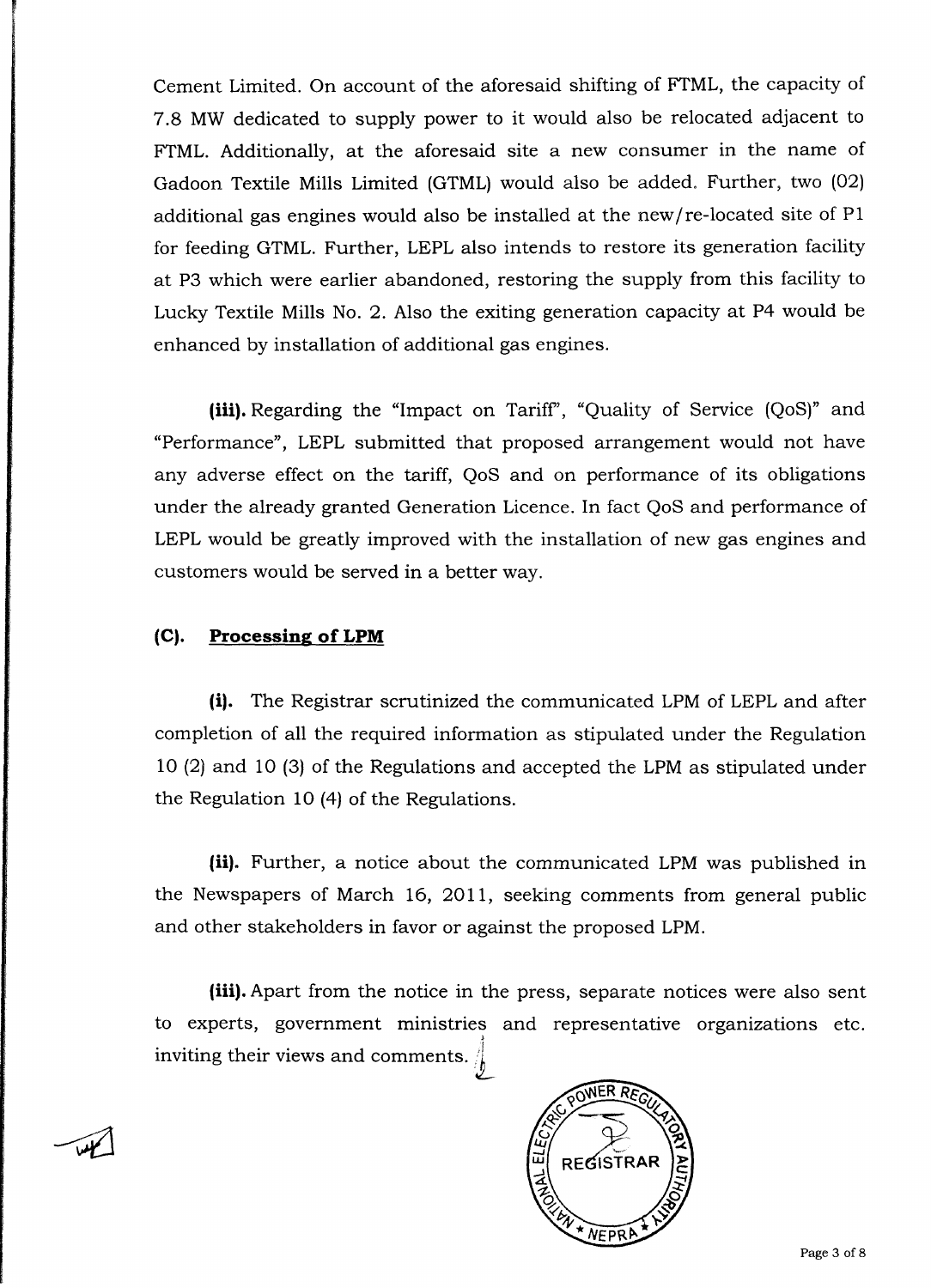Cement Limited. On account of the aforesaid shifting of FTML, the capacity of 7.8 MW dedicated to supply power to it would also be relocated adjacent to FTML. Additionally, at the aforesaid site a new consumer in the name of Gadoon Textile Mills Limited (GTML) would also be added. Further, two (02) additional gas engines would also be installed at the new/re-located site of P1 for feeding GTML. Further, LEPL also intends to restore its generation facility at P3 which were earlier abandoned, restoring the supply from this facility to Lucky Textile Mills No. 2. Also the exiting generation capacity at P4 would be enhanced by installation of additional gas engines.

**(iii). Regarding** the "Impact on Tariff', "Quality of Service (QoS)" and "Performance", LEPL submitted that proposed arrangement would not have any adverse effect on the tariff, QoS and on performance of its obligations under the already granted Generation Licence. In fact QoS and performance of LEPL would be greatly improved with the installation of new gas **engines and** customers would be served in a better way.

#### **(C). Processing of LPM**

(i). The Registrar scrutinized the communicated LPM of LEPL and after completion of all the required information as stipulated under the Regulation 10 (2) and 10 (3) of the Regulations and accepted the LPM as stipulated under the Regulation 10 (4) of the Regulations.

(ii). Further, a notice about the communicated LPM was published in the Newspapers of March 16, 2011, seeking comments from general public and other stakeholders in favor or against the proposed LPM.

(iii). Apart from the notice in the press, separate notices were also sent to experts, government ministries and representative organizations etc. **inviting their views** and comments.



Page 3 of 8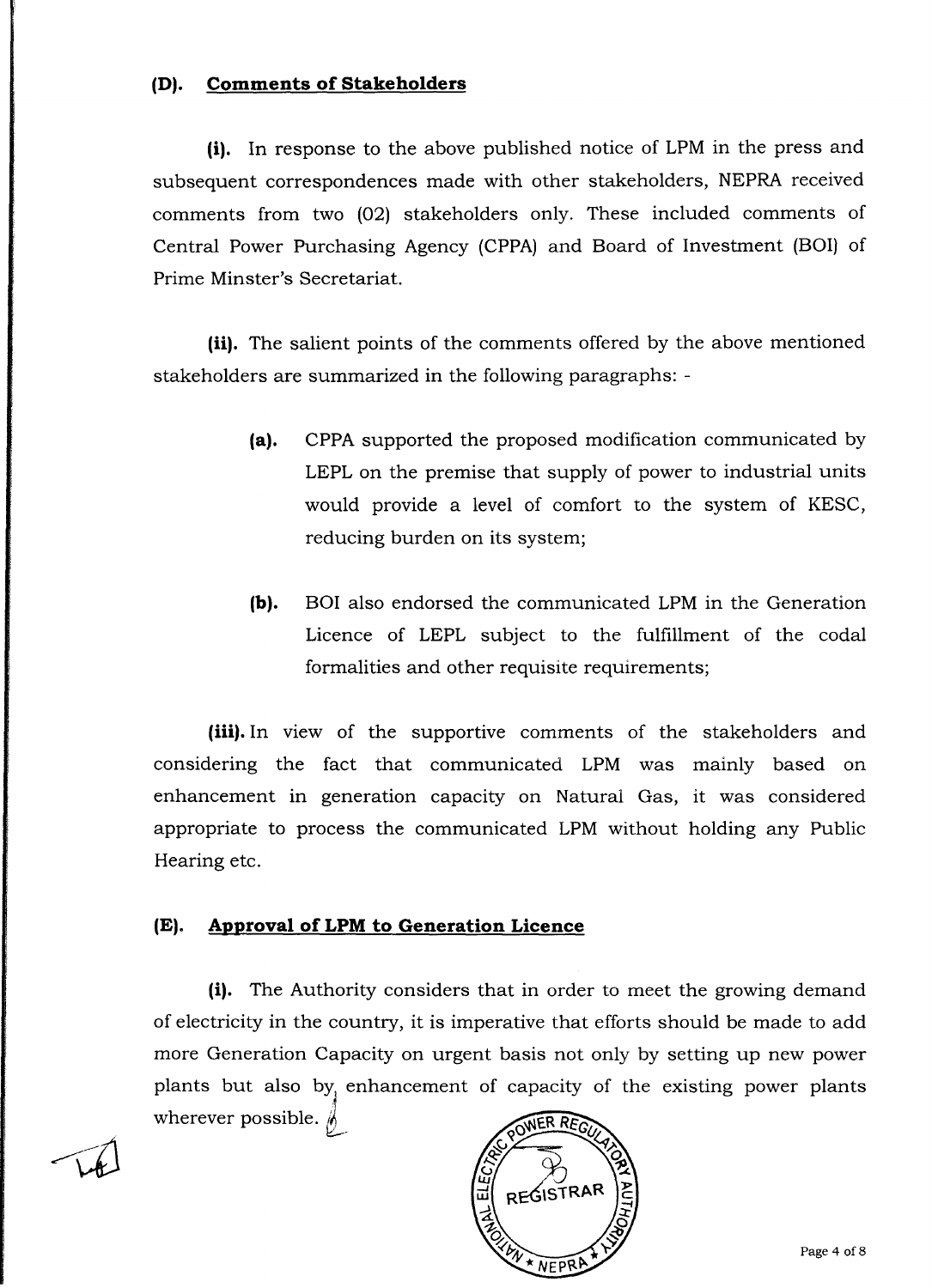#### **(D). Comments of Stakeholders**

(i). In response to the above published notice of LPM in the press and subsequent correspondences made with other stakeholders, NEPRA received comments from two (02) stakeholders only. These included comments of Central Power Purchasing Agency (CPPA) and Board of Investment (BOI) of Prime Minster's Secretariat.

**(ii). The salient points of the comments** offered by the above **mentioned stakeholders are summarized in the following paragraphs: -**

- (a). CPPA supported the proposed modification communicated by LEPL on the premise that supply of power to industrial units would provide a level of comfort to the system of KESC, reducing burden on its system;
- (b). BOI also endorsed the communicated LPM in the Generation Licence of LEPL subject to the fulfillment of the codal formalities and other requisite requirements;

(iii). In view of the supportive comments of the stakeholders and considering the fact that communicated LPM was mainly based on enhancement in generation capacity on Natural Gas, it was considered appropriate to process the communicated LPM without holding any Public Hearing etc.

#### (E). Approval **of LPM to Generation Licence**

(i). The Authority considers that in order to meet the growing demand of electricity in the country, it is imperative that efforts should be made to add more Generation Capacity on urgent basis not only by setting up new power plants but also by, enhancement of capacity of the existing power plants wherever possible.  $\oint$ 



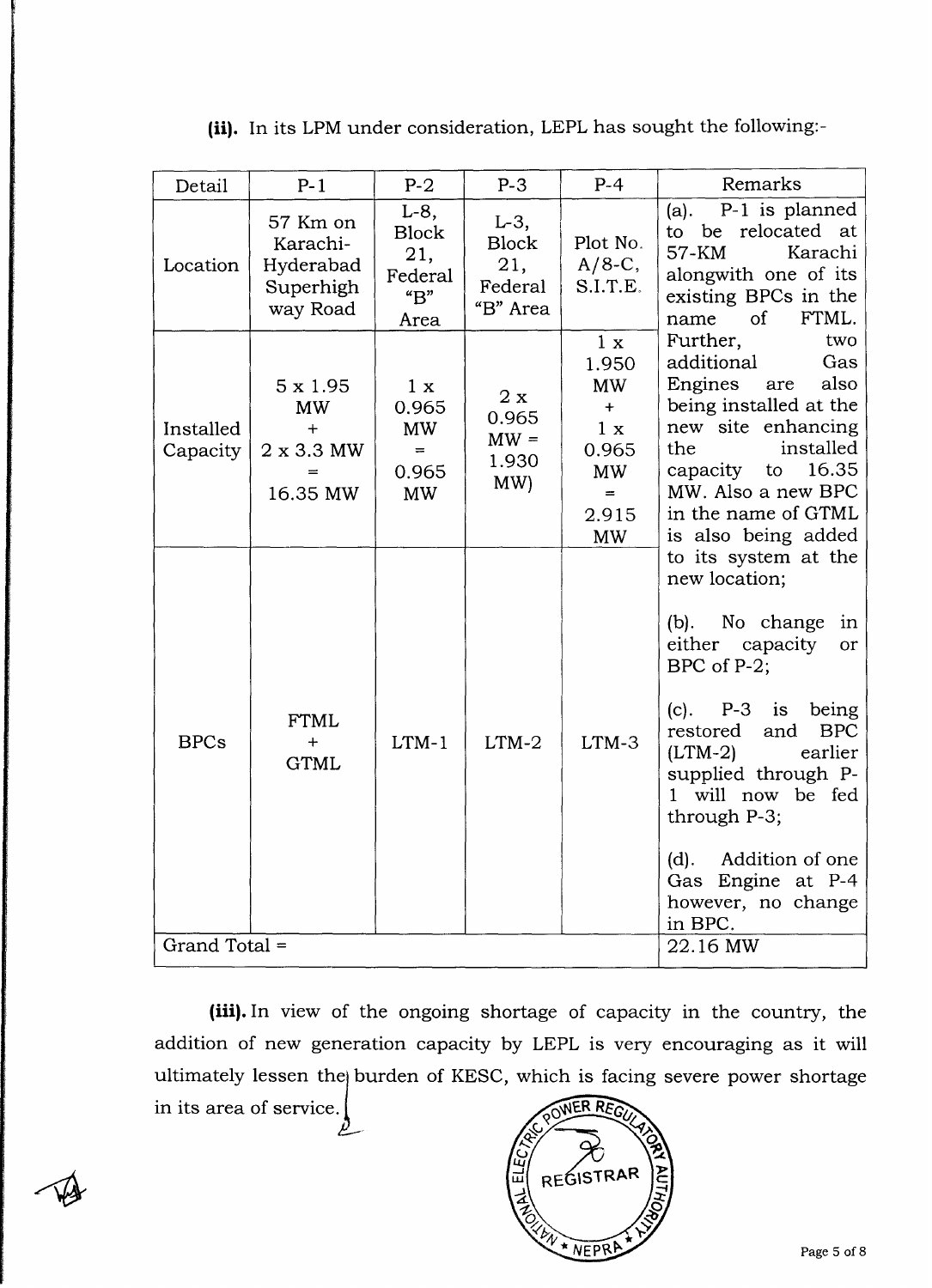| Detail                | $P-1$                                                                | $P-2$                                                                            | $P-3$                                                 | $P-4$                                                                               | Remarks                                                                                                                                                                                                                                                                                                                                                                                                                                                                                                                                                                                |
|-----------------------|----------------------------------------------------------------------|----------------------------------------------------------------------------------|-------------------------------------------------------|-------------------------------------------------------------------------------------|----------------------------------------------------------------------------------------------------------------------------------------------------------------------------------------------------------------------------------------------------------------------------------------------------------------------------------------------------------------------------------------------------------------------------------------------------------------------------------------------------------------------------------------------------------------------------------------|
| Location              | 57 Km on<br>Karachi-<br>Hyderabad<br>Superhigh<br>way Road           | $L-8$ ,<br><b>Block</b><br>21,<br>Federal<br>$\mathrm{H}^{\prime\prime}$<br>Area | $L-3$ ,<br><b>Block</b><br>21,<br>Federal<br>"B" Area | Plot No.<br>$A/8-C$ ,<br>S.I.T.E.                                                   | P-1 is planned<br>(a).<br>to be relocated at<br>57-KM<br>Karachi<br>alongwith one of its<br>existing BPCs in the<br>$\sigma$<br>FTML.<br>name                                                                                                                                                                                                                                                                                                                                                                                                                                          |
| Installed<br>Capacity | $5 \times 1.95$<br><b>MW</b><br>$+$<br>$2 \times 3.3$ MW<br>16.35 MW | 1 x<br>0.965<br><b>MW</b><br>$=$<br>0.965<br><b>MW</b>                           | 2x<br>0.965<br>$MW =$<br>1.930<br>MW)                 | 1 x<br>1.950<br><b>MW</b><br>$+$<br>1 x<br>0.965<br>MW<br>$=$<br>2.915<br><b>MW</b> | Further,<br>two<br>additional<br>Gas<br><b>Engines</b><br>also<br>are<br>being installed at the<br>new site enhancing<br>installed<br>the<br>capacity to<br>16.35<br>MW. Also a new BPC<br>in the name of GTML<br>is also being added<br>to its system at the<br>new location;<br>(b). No change<br>in<br>either capacity<br><b>or</b><br>BPC of P-2;<br>$(c)$ . P-3 is<br>being<br><b>BPC</b><br>restored<br>and<br>$(LTM-2)$<br>earlier<br>supplied through P-<br>1 will now be fed<br>through P-3;<br>Addition of one<br>(d).<br>Gas Engine at P-4<br>however, no change<br>in BPC. |
| <b>BPCs</b>           | <b>FTML</b><br>$+$<br><b>GTML</b>                                    | $LTM-1$                                                                          | $LTM-2$                                               | $LTM-3$                                                                             |                                                                                                                                                                                                                                                                                                                                                                                                                                                                                                                                                                                        |
| Grand Total =         |                                                                      |                                                                                  |                                                       |                                                                                     | 22.16 MW                                                                                                                                                                                                                                                                                                                                                                                                                                                                                                                                                                               |

(ii). In its LPM under consideration, LEPL has sought the following:-

**(iii). In view** of the ongoing shortage of capacity in the country, the addition of new generation capacity by LEPL is very encouraging as it will ultimately lessen the burden of KESC, which is facing severe power shortage in its area of service. OWER REG μ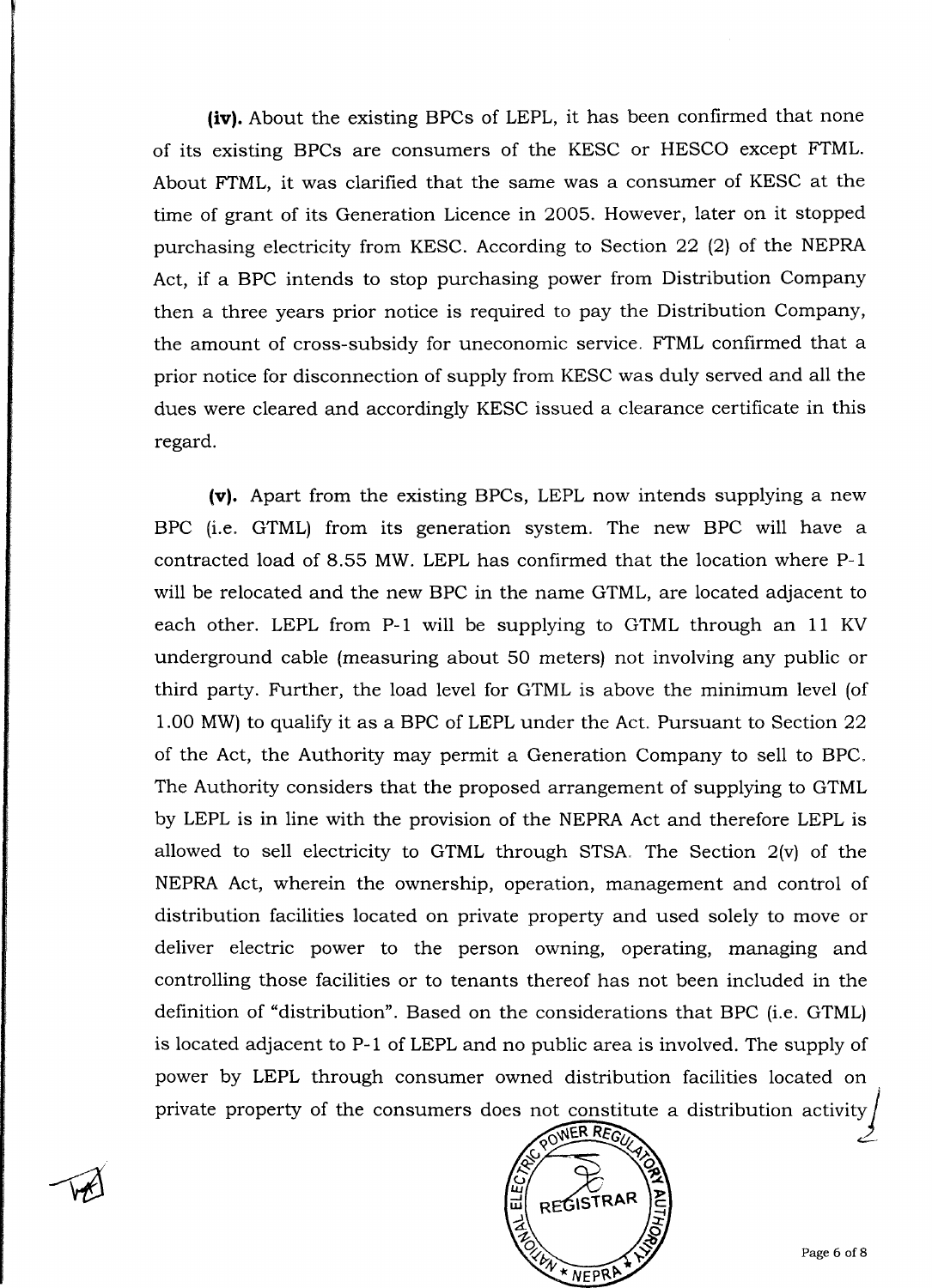(iv). About the existing BPCs of LEPL, it has been confirmed that none of its existing BPCs are consumers of the KESC or HESCO except FTML. About FTML, it was clarified that the same was a consumer of KESC at the time of grant of its Generation Licence in 2005. However, later on it stopped purchasing electricity from KESC. According to Section 22 (2) of the NEPRA Act, if a BPC intends to stop purchasing power from Distribution Company then a three years prior notice is required to pay the Distribution Company, the amount of cross-subsidy for uneconomic service. FTML confirmed that a prior notice for disconnection of supply from KESC was duly served and all the dues were cleared and accordingly KESC issued a clearance certificate in this regard.

(v). Apart from the existing BPCs, LEPL now intends supplying a new BPC (i.e. GTML) from its generation system. The new BPC will have a contracted load of 8.55 MW. LEPL has confirmed that the location where P-1 will be relocated and the new BPC in the name GTML, are located adjacent to each other. LEPL from P-1 will be supplying to GTML through an 11 KV underground cable (measuring about 50 meters) not involving any public or third party. Further, the load level for GTML is above the minimum level (of 1.00 MW) to qualify it as a BPC of LEPL under the Act. Pursuant to Section 22 of the Act, the Authority may permit a Generation Company to sell to BPC. The Authority considers that the proposed arrangement of supplying to GTML by LEPL is in line with the provision of the NEPRA Act and therefore LEPL is allowed to sell electricity to GTML through STSA. The Section 2(v) of the NEPRA Act, wherein the ownership, operation, management and control of distribution facilities located on private property and used solely to move or deliver electric power to the person owning, operating, managing and controlling those facilities or to tenants thereof has not been included in the definition of "distribution". Based on the considerations that BPC (i.e. GTML) is located adjacent to P-1 of LEPL and no public area is involved. The supply of power by LEPL through consumer owned distribution facilities located on private property of the consumers does not constitute a distribution activity



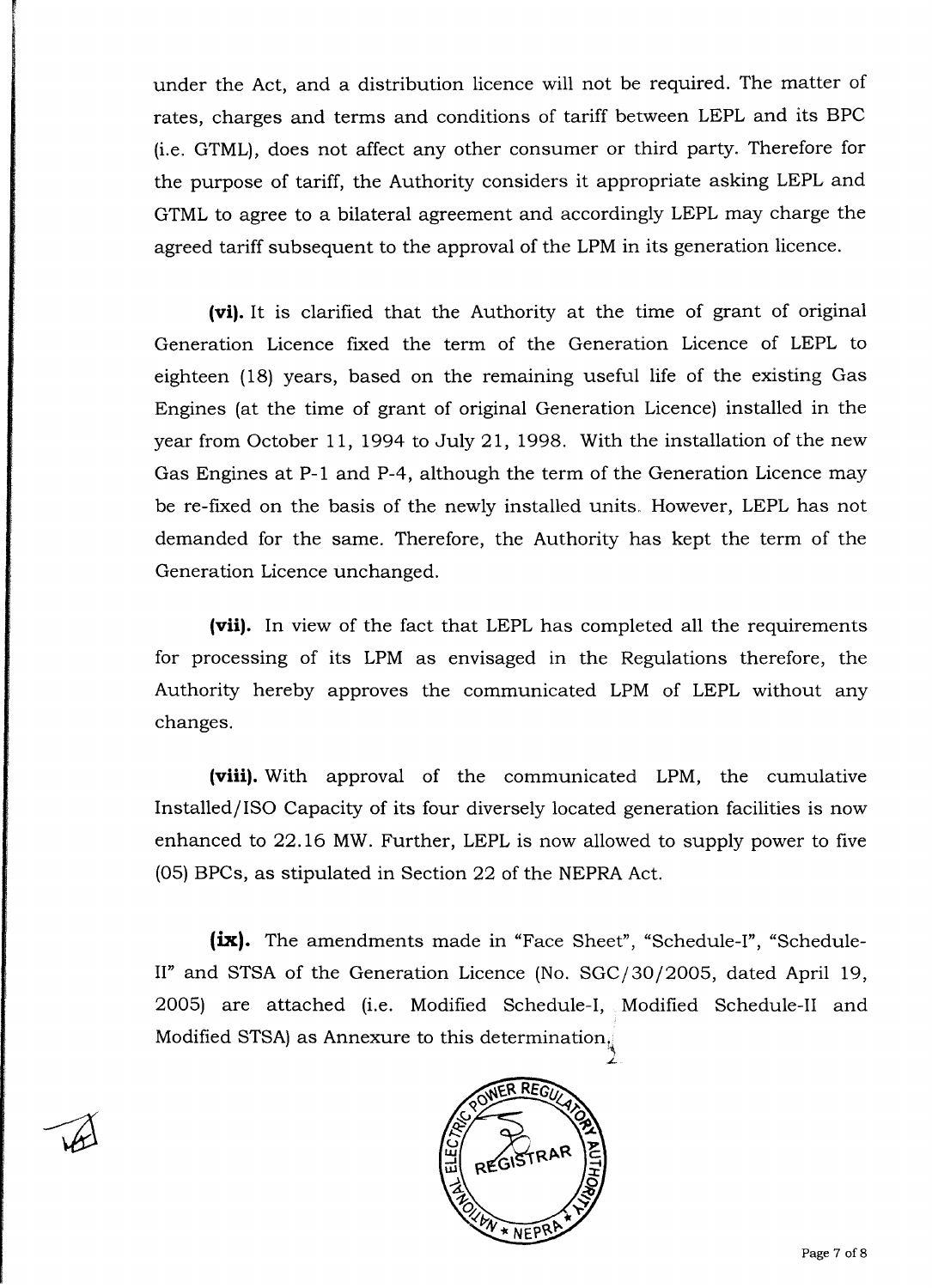under the Act, and a distribution licence will not be required. The matter of rates, charges and terms and conditions of tariff between LEPL and its BPC (i.e. GTML), does not affect any other consumer or third party. Therefore for the purpose of tariff, the Authority considers it appropriate asking LEPL and GTML to agree to a bilateral agreement and accordingly LEPL may charge the agreed tariff subsequent to the approval of the LPM in its generation licence.

(vi). It is clarified that the Authority at the time of grant of original Generation Licence fixed the term of the Generation Licence of LEPL to eighteen (18) years, based on the remaining useful life of the existing Gas Engines (at the time of grant of original Generation Licence) installed in the year from October 11, 1994 to July 21, 1998. With the installation of the new Gas Engines at P-1 and P-4, although the term of the Generation Licence may be re-fixed on the basis of the newly installed units, However, LEPL has not demanded for the same. Therefore, the Authority has kept the term of the Generation Licence unchanged.

(vii). In view of the fact that LEPL has completed all the requirements for processing of its LPM as envisaged in the Regulations therefore, the Authority hereby approves the communicated LPM of LEPL without any changes.

**(viii**). With approval of the communicated LPM, the cumulative Installed/ISO Capacity of its four diversely located generation facilities is now enhanced to 22.16 MW. Further, LEPL is now allowed to supply power to five (05) BPCs, as stipulated in Section 22 of the NEPRA Act.

**(ix).** The amendments made in "Face Sheet", "Schedule-I", "Schedule-II" and STSA of the Generation Licence (No. SGC/30/2005, dated April 19, 2005) are attached (i.e. Modified Schedule-I, Modified Schedule-II and Modified STSA) as Annexure to this determination,